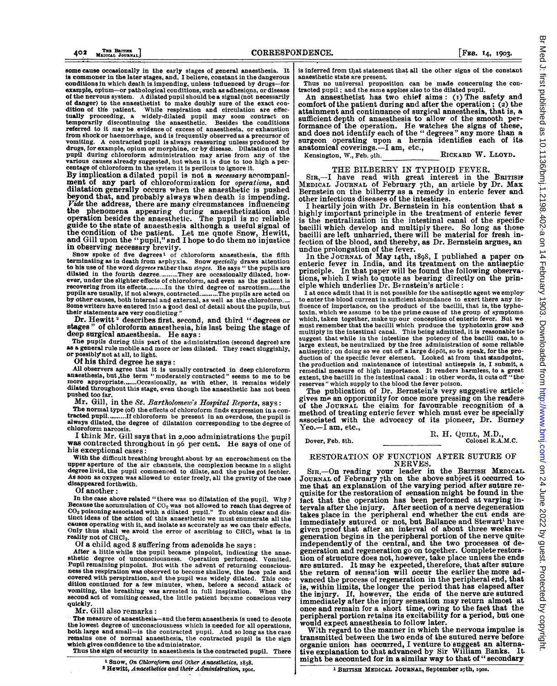some cause occasionally in the early stages of general anaesthesia. It is commoner in the later stages, and, <sup>I</sup> believe, constant in the dangerous conditions in which death is impending, unless influenced by drugs-for example, opium-or pathological conditions, such as adhesions, or disease<br>of the nervous system. A dilated pupil should be a signal (not necessarily<br>of danger) to the anaesthetist to make doubly sure of the exact condition of the patient. While respiration and circulation are effectually proceeding, a widely-dilated pupil may soon contract on temporarily discontinuing the anaesthetic. Besides the conditions referred to it may be evide drugs, for example, opium or morphine, or by disease. Dilatation of the pupil during chloroform administration may arise from any of the various causes already suggested, but when it is due to too high a percentage of chloroform in the system it is perilous to ignore it.

By implication a dilated pupil is not <sup>a</sup> necessary accompaniment of any part of chloroformization for *operations*, and dilatation generally occurs when the anaesthetic is pushed beyond that, and probably always when death is impending. *Vide* the address, there are many circumstances influencing the phenomena appearing during anaesthetization and operation the dependient operation besides the ana the condition of the patient. Let me quote Snow, Hewitt, and Gill upon the "pupil," and I hope to do them no injustice in observing necessary brevity.

Snow spoke of five degrees<sup>1</sup> of chloroform anaesthesia, the fifth terminating as in death from asplyxia. Snow specially draws attention to his use of the word *degrees* rather than stages. He says " the pupils are dilated in the fourth degree..........They are occasionally dilated, however, under the slighter effects of chloroform, and even as the patient is recovering from its effects..........In the third degree of narcotism......the<br>pupils are usually, if not always, contracted..........The pupils are acted on<br>by other causes, both internal and external, as well as the chlo Some writers have entered into a good deal of detail about the pupils, but their statements are very conflicting."

Dr. Hewitt<sup>2</sup> describes first, second, and third "degrees or stages " of chloroform anaesthesia, his last being the stage of deep surgical anaesthesia. He says:<br>The pupils during this part of the administration (second degree) are

as a general rule mobile and more or less dilated. They react sluggishly, or possibly'not at all, to light.

Of his third degree he says:

All observers agree that it is usually contracted in deep chloroform<br>anaesthesia, but, the term "moderately contracted" seems to me to be<br>more appropriate.......Occasionally, as with ether, it remains widely<br>dilated throu pushed too far.

Mr. Gill, in the St. Bartholomew's Hospital Reports, says:

The normal type (of) the effects of chloroform finds expression in a contracted pupil..........If chloroform be present in an overdose, the pupil is always dilated, the degree of dilatation corresponding to the degree of chloroform narcosis.

I think Mr. Gill says that in 2,ooo administrations the pupil was contracted throughout in <sup>96</sup> per cent. He says of one of his exceptional cases:

With the difficult breathing brought about by an encroachment on the upper aperture of the air channels, the complexion became in <sup>a</sup> slight degree livid, the pupil commenced to dilate, and the pulse got feebler. As soon as oxygen was allowed to enter freely, all the gravity of the case disappeared forthwith.

Of another:

In the case above related "there was no dilatation of the pupil. Why? Because the accumulation of  $CO<sub>2</sub>$  was not allowed to reach that degree of C02 poisoning associated with a dilated pupil." To obtain clear and dis-tinct ideas of the action of this anaesthetic we must enumerate all the causes operating with it, and isolate as accurately as we can their effects. Only thus shall we avoid the error of ascribing to CHC13 what is in reality not of CHCl<sub>3</sub>.

Of a child aged <sup>8</sup> suffering from adenoids he says:

After a little while the pupil became pinpoint, indicating the anaesthetic degree of unconsciousness. Operation performed. Vomited. Pupil remaining pinpoint. But with the advent of returning consciousness the respiration was observed to become shallow, the face pale and covered with perspiration, and the pupil was widely dilated. This con dition continued for a few minutes, when, before a second attack of vomiting, the breathing was arrested in full inspiration. When the second act of vomiting ceased, the little patient became conscious very quickly.

Mr. Gill also remarks:

The measure of anaesthesia-and the term anaesthesia is used to denote the lowest degree of unconsciousness which is needed for all operations, both large and small-is the contracted pupil. And so long as the case remains one of normal anaesthesia, the contracted pupil is the sign which gives confidence to the administrator.

Thus the sign of security in anaesthesia is the contracted pupil. There

<sup>1</sup> Snow, On Chloroform and Other Anaesthetics, x858.

<sup>2</sup> Hewitt, Anaesthetics and their Administration, Igot.

is inferred from that statement that all the other signs of the constant anaesthetic state are present.

Thus no universal proposition can be made concerning the con-tracted pupil; and the same applies also to the dilated pupil.

An anaesthetist has two chief aims: (i) The safety and comfort of the patient during and after the operation; (2) the attainment and continuance of surgical anaesthesia, that is, a sufficient depth of anaesthesia to allow of the smooth performance of the operation. He watches the signs of these, and does not identify each of the " degrees" any more than a surgeon operating upon a hernia identifies each of its anatomical coverings.—I am, etc.,<br>Kensington, W., Feb. 9th. RICKARD W. LLOYD.

THE BILBERRY IN TYPHOID FEVER.<br>SIR,-I have read with great interest in the BRITISH<br>MEDICAL JOURNAL of February 7th, an article by Dr. Max Bernstein on the bilberry as a remedy in enteric fever and, other infectious diseases of the intestines.

<sup>I</sup> heartily join with Dr. Bernstein in his contention that <sup>a</sup> highly important principle in the treatment of enteric fever is the neutralization in the intestinal canal of the specific-<br>bacilli which develop and multiply there. So long as those-<br>bacilli are left unharried, there will be material for fresh infection of the blood, and thereby, as Dr. Bernstein argues, an undue prolongation of the fever.

In the JOURNAL of May I4th, I898, <sup>I</sup> published a paper on enteric fever in India, and its treatment on the antiseptic principle. In that paper will be found the following observations, which I wish to quote as bearing directly on the principle which underlies Dr. Bernstein's article:

<sup>I</sup> at once admit that it is not possible for the antiseptic agent we employto enter the blood current in sufficient abundance to exert there any influence of importance, on the product of the bacilli, that is, the typhotoxin, which we assume to be the prime cause of the group of symptoms, which, taken together, make up our conception of enteric fever. But we must remember that the bacilli which produce the typhotoxin grow and. multiply in the intestinal canal. This being admitted, it is reasonable tosuggest that while in the intestine the potency of the bacilli can, to a. large extent, be neutralized by the free administration of some reliable antiseptic; on doing so we cut off a large dépôt, so to speak, for the pro-<br>duction of the specific fever element. Looked at from that standpoint,<br>the production and maintenance of intestinal antisepsis is, I submit, a remedial measure of high importance. It renders harmless, to a great extent, the bacilli in the intestinal canal: in other words, it cuts off " thereserves" which supply to the blood the fever poison.

The publication of Dr. Bernstein's very suggestive article gives me an opportunity for once more pressing on the readers of the JOURNAL the claim for favourable recognition of a method of treating enteric fever which must ever be specially' associated with the advocacy of its pioneer, Dr. Burney Yeo.—I am, etc.,

R. H. QUILL, M.D.,<br>
Colonel R.A.M.C.<br>
Colonel R.A.M.C.

## RESTORATION OF FUNCTION AFTER SUTURE OF NERVES.

SIR,-On reading your leader in the BRITISH MEDICAL JOURNAL of February 7th on the above subject it occurred to-me that an explanation of the varying period after suture re-quisite for the restoration of sensation might be found in the tact that the operation has been performed at varying intervals after the injury. After section of a nerve degeneration takes place in the peripheral end whether the cut ends areimmediately sutured or not, but Ballance and Stewart' have given proof that after an interval of about three weeks regeneration begins in the peripheral portion of the nerve quite-independently of the central, and the two processes of degeneration and regeneration go on together. Complete restoration of structure does not, however, take place unless the ends are sutured. It may be expected, therefore, that after suture the return of sensation will occur the earlier the more advanced the process of regeneration in the peripheral end, that is, within limits, the longer the period that has elapsed after the injury. If, however, the ends of the nerve are sutured immediately after the injury sensation may return almost at once and remain for a short time, owing to the fact that the peripheral portion retains its excitability for a period, but one would expect anaesthesia to follow later.

With regard to the manner in which the nervous impulse is transmitted between the two ends of the sutured nerve before organic union has occurred, I venture to suggest an alternative explanation to that advanced by Sir William Banks. might be accounted for in a similar way to that of " secondary.

<sup>1</sup> BRITISH MEDICAL JOURNAL, September 27th, 1902.